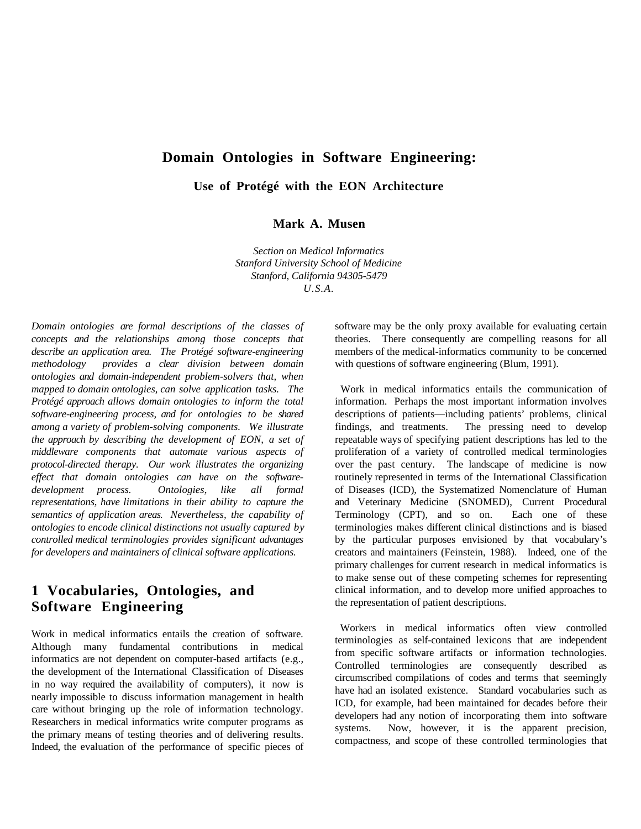## **Domain Ontologies in Software Engineering:**

**Use of Protégé with the EON Architecture**

**Mark A. Musen**

*Section on Medical Informatics Stanford University School of Medicine Stanford, California 94305-5479 U.S.A.*

*Domain ontologies are formal descriptions of the classes of concepts and the relationships among those concepts that describe an application area. The Protégé software-engineering methodology provides a clear division between domain ontologies and domain-independent problem-solvers that, when mapped to domain ontologies, can solve application tasks. The Protégé approach allows domain ontologies to inform the total software-engineering process, and for ontologies to be shared among a variety of problem-solving components. We illustrate the approach by describing the development of EON, a set of middleware components that automate various aspects of protocol-directed therapy. Our work illustrates the organizing effect that domain ontologies can have on the softwaredevelopment process. Ontologies, like all formal representations, have limitations in their ability to capture the semantics of application areas. Nevertheless, the capability of ontologies to encode clinical distinctions not usually captured by controlled medical terminologies provides significant advantages for developers and maintainers of clinical software applications.*

# **1 Vocabularies, Ontologies, and Software Engineering**

Work in medical informatics entails the creation of software. Although many fundamental contributions in medical informatics are not dependent on computer-based artifacts (e.g., the development of the International Classification of Diseases in no way required the availability of computers), it now is nearly impossible to discuss information management in health care without bringing up the role of information technology. Researchers in medical informatics write computer programs as the primary means of testing theories and of delivering results. Indeed, the evaluation of the performance of specific pieces of

software may be the only proxy available for evaluating certain theories. There consequently are compelling reasons for all members of the medical-informatics community to be concerned with questions of software engineering (Blum, 1991).

 Work in medical informatics entails the communication of information. Perhaps the most important information involves descriptions of patients—including patients' problems, clinical findings, and treatments. The pressing need to develop repeatable ways of specifying patient descriptions has led to the proliferation of a variety of controlled medical terminologies over the past century. The landscape of medicine is now routinely represented in terms of the International Classification of Diseases (ICD), the Systematized Nomenclature of Human and Veterinary Medicine (SNOMED), Current Procedural Terminology (CPT), and so on. Each one of these terminologies makes different clinical distinctions and is biased by the particular purposes envisioned by that vocabulary's creators and maintainers (Feinstein, 1988). Indeed, one of the primary challenges for current research in medical informatics is to make sense out of these competing schemes for representing clinical information, and to develop more unified approaches to the representation of patient descriptions.

 Workers in medical informatics often view controlled terminologies as self-contained lexicons that are independent from specific software artifacts or information technologies. Controlled terminologies are consequently described as circumscribed compilations of codes and terms that seemingly have had an isolated existence. Standard vocabularies such as ICD, for example, had been maintained for decades before their developers had any notion of incorporating them into software systems. Now, however, it is the apparent precision, compactness, and scope of these controlled terminologies that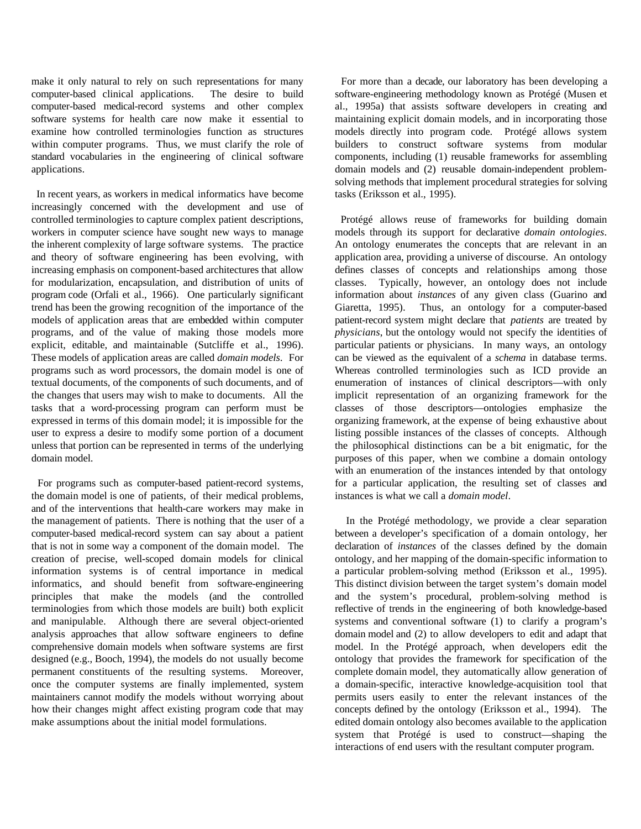make it only natural to rely on such representations for many computer-based clinical applications. The desire to build computer-based medical-record systems and other complex software systems for health care now make it essential to examine how controlled terminologies function as structures within computer programs. Thus, we must clarify the role of standard vocabularies in the engineering of clinical software applications.

 In recent years, as workers in medical informatics have become increasingly concerned with the development and use of controlled terminologies to capture complex patient descriptions, workers in computer science have sought new ways to manage the inherent complexity of large software systems. The practice and theory of software engineering has been evolving, with increasing emphasis on component-based architectures that allow for modularization, encapsulation, and distribution of units of program code (Orfali et al., 1966). One particularly significant trend has been the growing recognition of the importance of the models of application areas that are embedded within computer programs, and of the value of making those models more explicit, editable, and maintainable (Sutcliffe et al., 1996). These models of application areas are called *domain models*. For programs such as word processors, the domain model is one of textual documents, of the components of such documents, and of the changes that users may wish to make to documents. All the tasks that a word-processing program can perform must be expressed in terms of this domain model; it is impossible for the user to express a desire to modify some portion of a document unless that portion can be represented in terms of the underlying domain model.

 For programs such as computer-based patient-record systems, the domain model is one of patients, of their medical problems, and of the interventions that health-care workers may make in the management of patients. There is nothing that the user of a computer-based medical-record system can say about a patient that is not in some way a component of the domain model. The creation of precise, well-scoped domain models for clinical information systems is of central importance in medical informatics, and should benefit from software-engineering principles that make the models (and the controlled terminologies from which those models are built) both explicit and manipulable. Although there are several object-oriented analysis approaches that allow software engineers to define comprehensive domain models when software systems are first designed (e.g., Booch, 1994), the models do not usually become permanent constituents of the resulting systems. Moreover, once the computer systems are finally implemented, system maintainers cannot modify the models without worrying about how their changes might affect existing program code that may make assumptions about the initial model formulations.

 For more than a decade, our laboratory has been developing a software-engineering methodology known as Protégé (Musen et al., 1995a) that assists software developers in creating and maintaining explicit domain models, and in incorporating those models directly into program code. Protégé allows system builders to construct software systems from modular components, including (1) reusable frameworks for assembling domain models and (2) reusable domain-independent problemsolving methods that implement procedural strategies for solving tasks (Eriksson et al., 1995).

 Protégé allows reuse of frameworks for building domain models through its support for declarative *domain ontologies*. An ontology enumerates the concepts that are relevant in an application area, providing a universe of discourse. An ontology defines classes of concepts and relationships among those classes. Typically, however, an ontology does not include information about *instances* of any given class (Guarino and Giaretta, 1995). Thus, an ontology for a computer-based patient-record system might declare that *patients* are treated by *physicians*, but the ontology would not specify the identities of particular patients or physicians. In many ways, an ontology can be viewed as the equivalent of a *schema* in database terms. Whereas controlled terminologies such as ICD provide an enumeration of instances of clinical descriptors—with only implicit representation of an organizing framework for the classes of those descriptors—ontologies emphasize the organizing framework, at the expense of being exhaustive about listing possible instances of the classes of concepts. Although the philosophical distinctions can be a bit enigmatic, for the purposes of this paper, when we combine a domain ontology with an enumeration of the instances intended by that ontology for a particular application, the resulting set of classes and instances is what we call a *domain model*.

 In the Protégé methodology, we provide a clear separation between a developer's specification of a domain ontology, her declaration of *instances* of the classes defined by the domain ontology, and her mapping of the domain-specific information to a particular problem-solving method (Eriksson et al., 1995). This distinct division between the target system's domain model and the system's procedural, problem-solving method is reflective of trends in the engineering of both knowledge-based systems and conventional software (1) to clarify a program's domain model and (2) to allow developers to edit and adapt that model. In the Protégé approach, when developers edit the ontology that provides the framework for specification of the complete domain model, they automatically allow generation of a domain-specific, interactive knowledge-acquisition tool that permits users easily to enter the relevant instances of the concepts defined by the ontology (Eriksson et al., 1994). The edited domain ontology also becomes available to the application system that Protégé is used to construct—shaping the interactions of end users with the resultant computer program.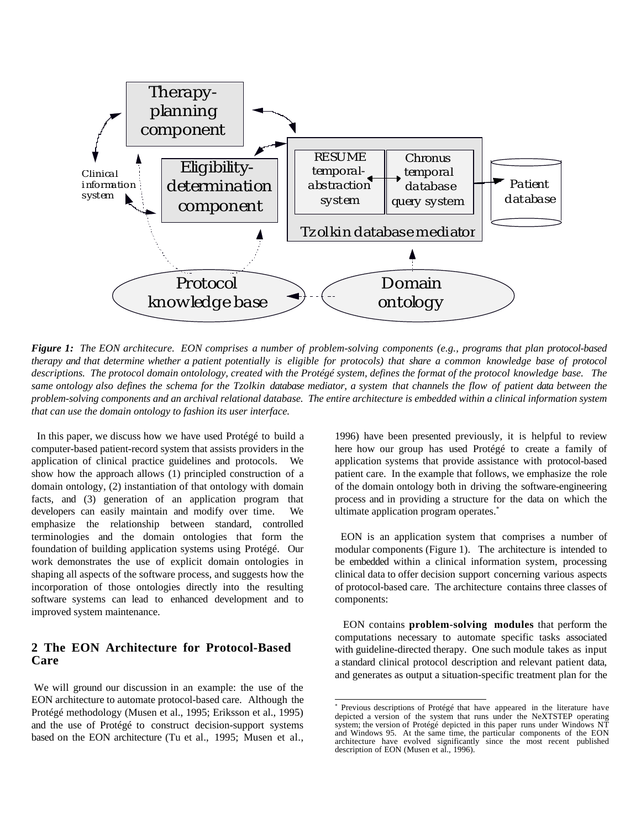

*Figure 1: The EON architecure. EON comprises a number of problem-solving components (e.g., programs that plan protocol-based therapy and that determine whether a patient potentially is eligible for protocols) that share a common knowledge base of protocol descriptions. The protocol domain ontolology, created with the Protégé system, defines the format of the protocol knowledge base. The same ontology also defines the schema for the Tzolkin database mediator, a system that channels the flow of patient data between the problem-solving components and an archival relational database. The entire architecture is embedded within a clinical information system that can use the domain ontology to fashion its user interface.*

 In this paper, we discuss how we have used Protégé to build a computer-based patient-record system that assists providers in the application of clinical practice guidelines and protocols. We show how the approach allows (1) principled construction of a domain ontology, (2) instantiation of that ontology with domain facts, and (3) generation of an application program that developers can easily maintain and modify over time. We emphasize the relationship between standard, controlled terminologies and the domain ontologies that form the foundation of building application systems using Protégé. Our work demonstrates the use of explicit domain ontologies in shaping all aspects of the software process, and suggests how the incorporation of those ontologies directly into the resulting software systems can lead to enhanced development and to improved system maintenance.

## **2 The EON Architecture for Protocol-Based Care**

 We will ground our discussion in an example: the use of the EON architecture to automate protocol-based care. Although the Protégé methodology (Musen et al., 1995; Eriksson et al., 1995) and the use of Protégé to construct decision-support systems based on the EON architecture (Tu et al., 1995; Musen et al.,

1996) have been presented previously, it is helpful to review here how our group has used Protégé to create a family of application systems that provide assistance with protocol-based patient care. In the example that follows, we emphasize the role of the domain ontology both in driving the software-engineering process and in providing a structure for the data on which the ultimate application program operates.<sup>\*</sup>

 EON is an application system that comprises a number of modular components (Figure 1). The architecture is intended to be embedded within a clinical information system, processing clinical data to offer decision support concerning various aspects of protocol-based care. The architecture contains three classes of components:

 EON contains **problem-solving modules** that perform the computations necessary to automate specific tasks associated with guideline-directed therapy. One such module takes as input a standard clinical protocol description and relevant patient data, and generates as output a situation-specific treatment plan for the

 \* Previous descriptions of Protégé that have appeared in the literature have depicted a version of the system that runs under the NeXTSTEP operating system; the version of Protégé depicted in this paper runs under Windows NT and Windows 95. At the same time, the particular components of the EON architecture have evolved significantly since the most recent published description of EON (Musen et al., 1996).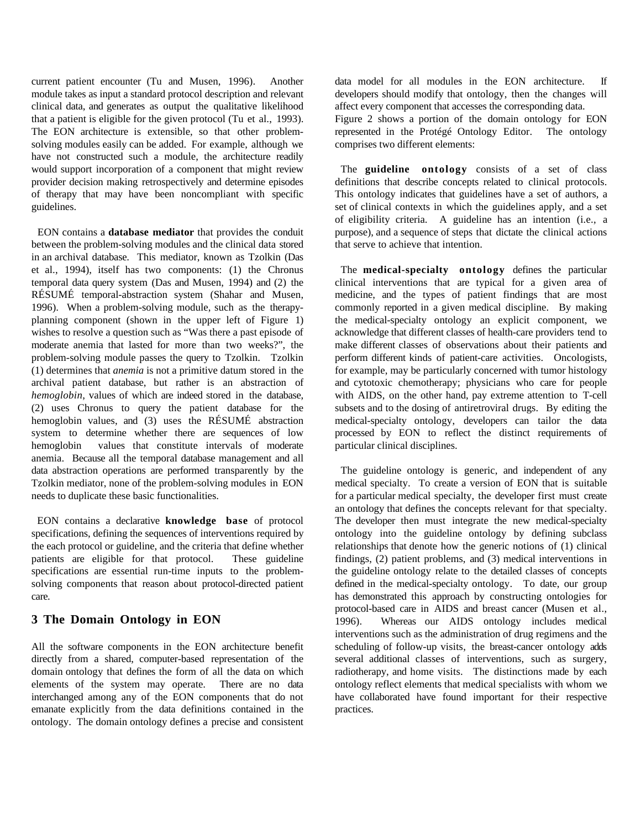current patient encounter (Tu and Musen, 1996). Another module takes as input a standard protocol description and relevant clinical data, and generates as output the qualitative likelihood that a patient is eligible for the given protocol (Tu et al., 1993). The EON architecture is extensible, so that other problemsolving modules easily can be added. For example, although we have not constructed such a module, the architecture readily would support incorporation of a component that might review provider decision making retrospectively and determine episodes of therapy that may have been noncompliant with specific guidelines.

 EON contains a **database mediator** that provides the conduit between the problem-solving modules and the clinical data stored in an archival database. This mediator, known as Tzolkin (Das et al., 1994), itself has two components: (1) the Chronus temporal data query system (Das and Musen, 1994) and (2) the RÉSUMÉ temporal-abstraction system (Shahar and Musen, 1996). When a problem-solving module, such as the therapyplanning component (shown in the upper left of Figure 1) wishes to resolve a question such as "Was there a past episode of moderate anemia that lasted for more than two weeks?", the problem-solving module passes the query to Tzolkin. Tzolkin (1) determines that *anemia* is not a primitive datum stored in the archival patient database, but rather is an abstraction of *hemoglobin*, values of which are indeed stored in the database, (2) uses Chronus to query the patient database for the hemoglobin values, and (3) uses the RÉSUMÉ abstraction system to determine whether there are sequences of low hemoglobin values that constitute intervals of moderate anemia. Because all the temporal database management and all data abstraction operations are performed transparently by the Tzolkin mediator, none of the problem-solving modules in EON needs to duplicate these basic functionalities.

 EON contains a declarative **knowledge base** of protocol specifications, defining the sequences of interventions required by the each protocol or guideline, and the criteria that define whether patients are eligible for that protocol. These guideline specifications are essential run-time inputs to the problemsolving components that reason about protocol-directed patient care.

## **3 The Domain Ontology in EON**

All the software components in the EON architecture benefit directly from a shared, computer-based representation of the domain ontology that defines the form of all the data on which elements of the system may operate. There are no data interchanged among any of the EON components that do not emanate explicitly from the data definitions contained in the ontology. The domain ontology defines a precise and consistent

data model for all modules in the EON architecture. If developers should modify that ontology, then the changes will affect every component that accesses the corresponding data.

Figure 2 shows a portion of the domain ontology for EON represented in the Protégé Ontology Editor. The ontology comprises two different elements:

 The **guideline ontology** consists of a set of class definitions that describe concepts related to clinical protocols. This ontology indicates that guidelines have a set of authors, a set of clinical contexts in which the guidelines apply, and a set of eligibility criteria. A guideline has an intention (i.e., a purpose), and a sequence of steps that dictate the clinical actions that serve to achieve that intention.

 The **medical-specialty ontology** defines the particular clinical interventions that are typical for a given area of medicine, and the types of patient findings that are most commonly reported in a given medical discipline. By making the medical-specialty ontology an explicit component, we acknowledge that different classes of health-care providers tend to make different classes of observations about their patients and perform different kinds of patient-care activities. Oncologists, for example, may be particularly concerned with tumor histology and cytotoxic chemotherapy; physicians who care for people with AIDS, on the other hand, pay extreme attention to T-cell subsets and to the dosing of antiretroviral drugs. By editing the medical-specialty ontology, developers can tailor the data processed by EON to reflect the distinct requirements of particular clinical disciplines.

 The guideline ontology is generic, and independent of any medical specialty. To create a version of EON that is suitable for a particular medical specialty, the developer first must create an ontology that defines the concepts relevant for that specialty. The developer then must integrate the new medical-specialty ontology into the guideline ontology by defining subclass relationships that denote how the generic notions of (1) clinical findings, (2) patient problems, and (3) medical interventions in the guideline ontology relate to the detailed classes of concepts defined in the medical-specialty ontology. To date, our group has demonstrated this approach by constructing ontologies for protocol-based care in AIDS and breast cancer (Musen et al., 1996). Whereas our AIDS ontology includes medical interventions such as the administration of drug regimens and the scheduling of follow-up visits, the breast-cancer ontology adds several additional classes of interventions, such as surgery, radiotherapy, and home visits. The distinctions made by each ontology reflect elements that medical specialists with whom we have collaborated have found important for their respective practices.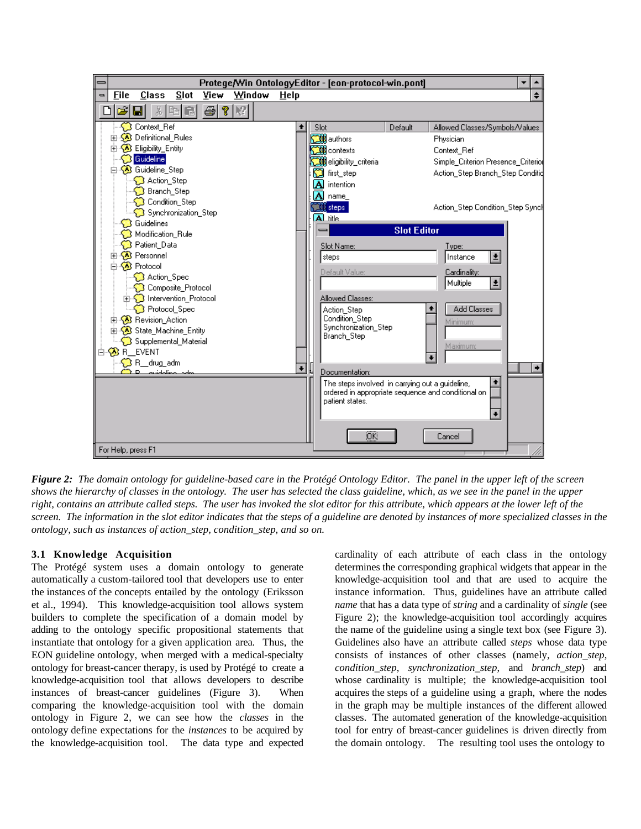

*Figure 2: The domain ontology for guideline-based care in the Protégé Ontology Editor. The panel in the upper left of the screen shows the hierarchy of classes in the ontology. The user has selected the class guideline, which, as we see in the panel in the upper right, contains an attribute called steps. The user has invoked the slot editor for this attribute, which appears at the lower left of the screen. The information in the slot editor indicates that the steps of a guideline are denoted by instances of more specialized classes in the ontology, such as instances of action\_step, condition\_step, and so on.*

### **3.1 Knowledge Acquisition**

The Protégé system uses a domain ontology to generate automatically a custom-tailored tool that developers use to enter the instances of the concepts entailed by the ontology (Eriksson et al., 1994). This knowledge-acquisition tool allows system builders to complete the specification of a domain model by adding to the ontology specific propositional statements that instantiate that ontology for a given application area. Thus, the EON guideline ontology, when merged with a medical-specialty ontology for breast-cancer therapy, is used by Protégé to create a knowledge-acquisition tool that allows developers to describe instances of breast-cancer guidelines (Figure 3). When comparing the knowledge-acquisition tool with the domain ontology in Figure 2, we can see how the *classes* in the ontology define expectations for the *instances* to be acquired by the knowledge-acquisition tool. The data type and expected

cardinality of each attribute of each class in the ontology determines the corresponding graphical widgets that appear in the knowledge-acquisition tool and that are used to acquire the instance information. Thus, guidelines have an attribute called *name* that has a data type of *string* and a cardinality of *single* (see Figure 2); the knowledge-acquisition tool accordingly acquires the name of the guideline using a single text box (see Figure 3). Guidelines also have an attribute called *steps* whose data type consists of instances of other classes (namely, *action\_step*, *condition\_step*, *synchronization\_step*, and *branch\_step*) and whose cardinality is multiple; the knowledge-acquisition tool acquires the steps of a guideline using a graph, where the nodes in the graph may be multiple instances of the different allowed classes. The automated generation of the knowledge-acquisition tool for entry of breast-cancer guidelines is driven directly from the domain ontology. The resulting tool uses the ontology to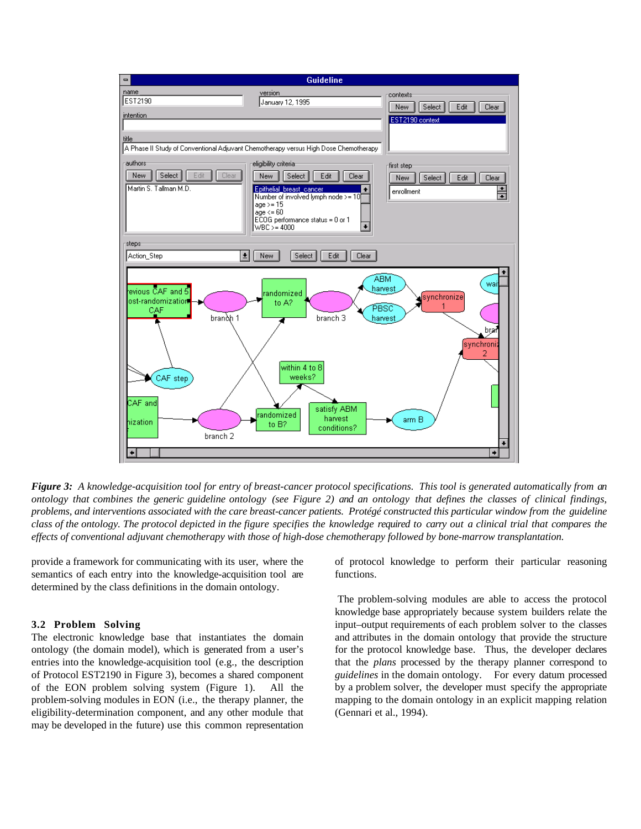

*Figure 3: A knowledge-acquisition tool for entry of breast-cancer protocol specifications. This tool is generated automatically from an ontology that combines the generic guideline ontology (see Figure 2) and an ontology that defines the classes of clinical findings, problems, and interventions associated with the care breast-cancer patients. Protégé constructed this particular window from the guideline class of the ontology. The protocol depicted in the figure specifies the knowledge required to carry out a clinical trial that compares the effects of conventional adjuvant chemotherapy with those of high-dose chemotherapy followed by bone-marrow transplantation.*

provide a framework for communicating with its user, where the semantics of each entry into the knowledge-acquisition tool are determined by the class definitions in the domain ontology.

#### **3.2 Problem Solving**

The electronic knowledge base that instantiates the domain ontology (the domain model), which is generated from a user's entries into the knowledge-acquisition tool (e.g., the description of Protocol EST2190 in Figure 3), becomes a shared component of the EON problem solving system (Figure 1). All the problem-solving modules in EON (i.e., the therapy planner, the eligibility-determination component, and any other module that may be developed in the future) use this common representation of protocol knowledge to perform their particular reasoning functions.

 The problem-solving modules are able to access the protocol knowledge base appropriately because system builders relate the input–output requirements of each problem solver to the classes and attributes in the domain ontology that provide the structure for the protocol knowledge base. Thus, the developer declares that the *plans* processed by the therapy planner correspond to *guidelines* in the domain ontology. For every datum processed by a problem solver, the developer must specify the appropriate mapping to the domain ontology in an explicit mapping relation (Gennari et al., 1994).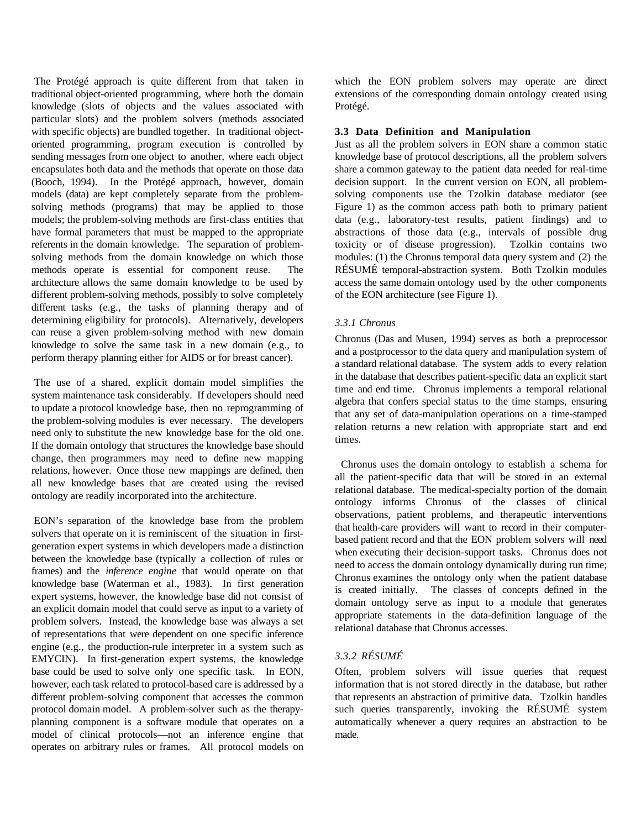The Protégé approach is quite different from that taken in traditional object-oriented programming, where both the domain knowledge (slots of objects and the values associated with particular slots) and the problem solvers (methods associated with specific objects) are bundled together. In traditional objectoriented programming, program execution is controlled by sending messages from one object to another, where each object encapsulates both data and the methods that operate on those data (Booch, 1994). In the Protégé approach, however, domain models (data) are kept completely separate from the problemsolving methods (programs) that may be applied to those models; the problem-solving methods are first-class entities that have formal parameters that must be mapped to the appropriate referents in the domain knowledge. The separation of problemsolving methods from the domain knowledge on which those methods operate is essential for component reuse. The architecture allows the same domain knowledge to be used by different problem-solving methods, possibly to solve completely different tasks (e.g., the tasks of planning therapy and of determining eligibility for protocols). Alternatively, developers can reuse a given problem-solving method with new domain knowledge to solve the same task in a new domain (e.g., to perform therapy planning either for AIDS or for breast cancer).

 The use of a shared, explicit domain model simplifies the system maintenance task considerably. If developers should need to update a protocol knowledge base, then no reprogramming of the problem-solving modules is ever necessary. The developers need only to substitute the new knowledge base for the old one. If the domain ontology that structures the knowledge base should change, then programmers may need to define new mapping relations, however. Once those new mappings are defined, then all new knowledge bases that are created using the revised ontology are readily incorporated into the architecture.

 EON's separation of the knowledge base from the problem solvers that operate on it is reminiscent of the situation in firstgeneration expert systems in which developers made a distinction between the knowledge base (typically a collection of rules or frames) and the *inference engine* that would operate on that knowledge base (Waterman et al., 1983). In first generation expert systems, however, the knowledge base did not consist of an explicit domain model that could serve as input to a variety of problem solvers. Instead, the knowledge base was always a set of representations that were dependent on one specific inference engine (e.g., the production-rule interpreter in a system such as EMYCIN). In first-generation expert systems, the knowledge base could be used to solve only one specific task. In EON, however, each task related to protocol-based care is addressed by a different problem-solving component that accesses the common protocol domain model. A problem-solver such as the therapyplanning component is a software module that operates on a model of clinical protocols—not an inference engine that operates on arbitrary rules or frames. All protocol models on

which the EON problem solvers may operate are direct extensions of the corresponding domain ontology created using Protégé.

#### **3.3 Data Definition and Manipulation**

Just as all the problem solvers in EON share a common static knowledge base of protocol descriptions, all the problem solvers share a common gateway to the patient data needed for real-time decision support. In the current version on EON, all problemsolving components use the Tzolkin database mediator (see Figure 1) as the common access path both to primary patient data (e.g., laboratory-test results, patient findings) and to abstractions of those data (e.g., intervals of possible drug toxicity or of disease progression). Tzolkin contains two modules: (1) the Chronus temporal data query system and (2) the RÉSUMÉ temporal-abstraction system. Both Tzolkin modules access the same domain ontology used by the other components of the EON architecture (see Figure 1).

### *3.3.1 Chronus*

Chronus (Das and Musen, 1994) serves as both a preprocessor and a postprocessor to the data query and manipulation system of a standard relational database. The system adds to every relation in the database that describes patient-specific data an explicit start time and end time. Chronus implements a temporal relational algebra that confers special status to the time stamps, ensuring that any set of data-manipulation operations on a time-stamped relation returns a new relation with appropriate start and end times.

 Chronus uses the domain ontology to establish a schema for all the patient-specific data that will be stored in an external relational database. The medical-specialty portion of the domain ontology informs Chronus of the classes of clinical observations, patient problems, and therapeutic interventions that health-care providers will want to record in their computerbased patient record and that the EON problem solvers will need when executing their decision-support tasks. Chronus does not need to access the domain ontology dynamically during run time; Chronus examines the ontology only when the patient database is created initially. The classes of concepts defined in the domain ontology serve as input to a module that generates appropriate statements in the data-definition language of the relational database that Chronus accesses.

## *3.3.2 RÉSUMÉ*

Often, problem solvers will issue queries that request information that is not stored directly in the database, but rather that represents an abstraction of primitive data. Tzolkin handles such queries transparently, invoking the RÉSUMÉ system automatically whenever a query requires an abstraction to be made.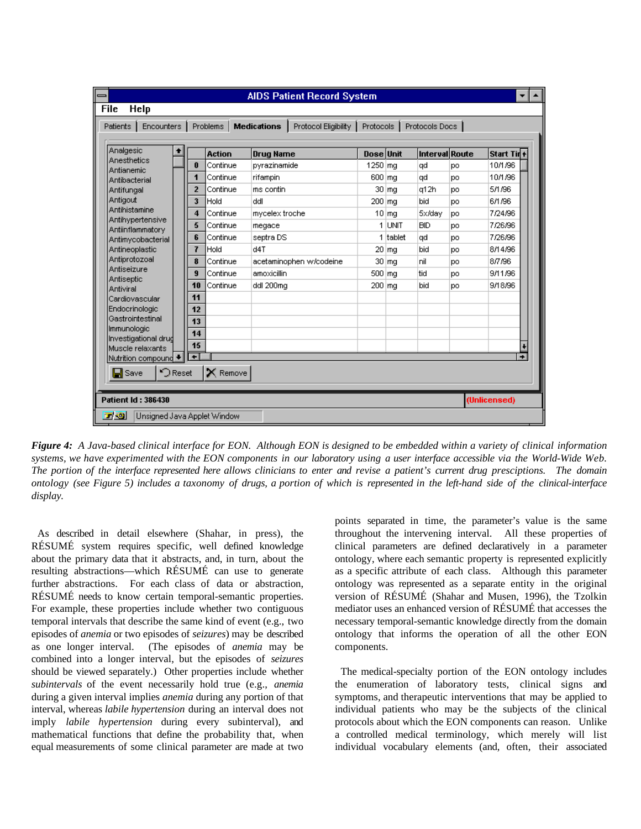| ∍<br><b>File</b>                                                                                                                   |       |                |                      |  |                       | <b>AIDS Patient Record System</b> |               |                      |                       |    |              |
|------------------------------------------------------------------------------------------------------------------------------------|-------|----------------|----------------------|--|-----------------------|-----------------------------------|---------------|----------------------|-----------------------|----|--------------|
| Help<br>Protocol Eligibility<br><b>Encounters</b><br><b>Medications</b><br>Protocols  <br>Protocols Docs<br>Patients  <br>Problems |       |                |                      |  |                       |                                   |               |                      |                       |    |              |
| Analgesic                                                                                                                          |       |                | <b>Action</b>        |  | <b>Drug Name</b>      |                                   | Dose Unit     |                      | <b>Interval Route</b> |    | Start Tirl+  |
| Anesthetics<br>Antianemic                                                                                                          |       | 0              | Continue             |  | pyrazinamide          |                                   | 1250 mg       |                      | qd                    | po | 10/1/96      |
| Antibacterial<br>Antifungal                                                                                                        |       | 1              | Continue<br>Continue |  | rifampin<br>ms contin |                                   | 600 mg        |                      | qd                    | pо | 10/1/96      |
|                                                                                                                                    |       | $\overline{2}$ |                      |  |                       |                                   | $30 \vert mg$ |                      | q12h                  | po | 5/1/96       |
| Antigout                                                                                                                           |       | 3              | Hold                 |  | ddl                   |                                   | 200 mg        |                      | bid                   | юo | 6/1/96       |
| Antihistamine                                                                                                                      |       | 4              | Continue             |  | mycelex troche        |                                   |               | $10 \, \mathrm{m}$ g | 5x/dav                | po | 7/24/96      |
| Antihypertensive<br>Antiinflammatory                                                                                               |       | 5              | Continue             |  | megace                |                                   |               | 1 UNIT               | <b>BID</b>            | юo | 7/26/96      |
| Antimycobacterial                                                                                                                  |       | 6              | Continue             |  | septra DS             |                                   |               | 1 Itablet            | qd                    | po | 7/26/96      |
| Antineoplastic                                                                                                                     |       | 7              | Hold                 |  | d4T                   |                                   | $20 \vert mg$ |                      | bid                   | po | 8/14/96      |
| Antiprotozoal                                                                                                                      |       | 8              | Continue             |  |                       | acetaminophen w/codeine           |               | $30 \,$ mg           | nil                   | po | 8/7/96       |
| Antiseizure                                                                                                                        |       | $\overline{9}$ | Continue             |  | amoxicillin           |                                   | 500 mg        |                      | tid                   | pо | 9/11/96      |
| Antiseptic<br>Antiviral                                                                                                            |       | 10             | Continue             |  | ddl 200mg             |                                   | 200 mg        |                      | bid                   | po | 9/18/96      |
| Cardiovascular                                                                                                                     |       | 11             |                      |  |                       |                                   |               |                      |                       |    |              |
| Endocrinologic                                                                                                                     |       | 12             |                      |  |                       |                                   |               |                      |                       |    |              |
| Gastrointestinal                                                                                                                   |       | 13             |                      |  |                       |                                   |               |                      |                       |    |              |
| Immunologic<br>Investigational drud                                                                                                |       | 14             |                      |  |                       |                                   |               |                      |                       |    |              |
| Muscle relaxants                                                                                                                   |       | 15             |                      |  |                       |                                   |               |                      |                       |    |              |
| Nutrition compound                                                                                                                 |       | $\overline{ }$ |                      |  |                       |                                   |               |                      |                       |    | ۰            |
| $\Box$ Save                                                                                                                        | Reset |                | <b>X</b> Remove      |  |                       |                                   |               |                      |                       |    |              |
| <b>Patient Id: 386430</b>                                                                                                          |       |                |                      |  |                       |                                   |               |                      |                       |    | (Unlicensed) |
| 口切<br>Unsigned Java Applet Window                                                                                                  |       |                |                      |  |                       |                                   |               |                      |                       |    |              |

*Figure 4: A Java-based clinical interface for EON. Although EON is designed to be embedded within a variety of clinical information systems, we have experimented with the EON components in our laboratory using a user interface accessible via the World-Wide Web. The portion of the interface represented here allows clinicians to enter and revise a patient's current drug presciptions. The domain ontology (see Figure 5) includes a taxonomy of drugs, a portion of which is represented in the left-hand side of the clinical-interface display.*

 As described in detail elsewhere (Shahar, in press), the RÉSUMÉ system requires specific, well defined knowledge about the primary data that it abstracts, and, in turn, about the resulting abstractions—which RÉSUMÉ can use to generate further abstractions. For each class of data or abstraction, RÉSUMÉ needs to know certain temporal-semantic properties. For example, these properties include whether two contiguous temporal intervals that describe the same kind of event (e.g., two episodes of *anemia* or two episodes of *seizures*) may be described as one longer interval. (The episodes of *anemia* may be combined into a longer interval, but the episodes of *seizures* should be viewed separately.) Other properties include whether *subintervals* of the event necessarily hold true (e.g., *anemia* during a given interval implies *anemia* during any portion of that interval, whereas *labile hypertension* during an interval does not imply *labile hypertension* during every subinterval), and mathematical functions that define the probability that, when equal measurements of some clinical parameter are made at two

points separated in time, the parameter's value is the same throughout the intervening interval. All these properties of clinical parameters are defined declaratively in a parameter ontology, where each semantic property is represented explicitly as a specific attribute of each class. Although this parameter ontology was represented as a separate entity in the original version of RÉSUMÉ (Shahar and Musen, 1996), the Tzolkin mediator uses an enhanced version of RÉSUMÉ that accesses the necessary temporal-semantic knowledge directly from the domain ontology that informs the operation of all the other EON components.

 The medical-specialty portion of the EON ontology includes the enumeration of laboratory tests, clinical signs and symptoms, and therapeutic interventions that may be applied to individual patients who may be the subjects of the clinical protocols about which the EON components can reason. Unlike a controlled medical terminology, which merely will list individual vocabulary elements (and, often, their associated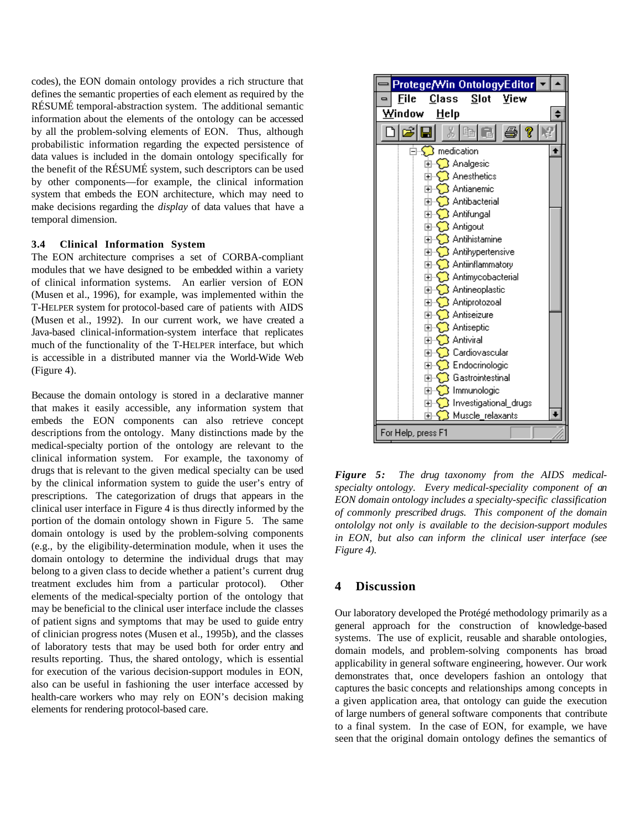codes), the EON domain ontology provides a rich structure that defines the semantic properties of each element as required by the RÉSUMÉ temporal-abstraction system. The additional semantic information about the elements of the ontology can be accessed by all the problem-solving elements of EON. Thus, although probabilistic information regarding the expected persistence of data values is included in the domain ontology specifically for the benefit of the RÉSUMÉ system, such descriptors can be used by other components—for example, the clinical information system that embeds the EON architecture, which may need to make decisions regarding the *display* of data values that have a temporal dimension.

#### **3.4 Clinical Information System**

The EON architecture comprises a set of CORBA-compliant modules that we have designed to be embedded within a variety of clinical information systems. An earlier version of EON (Musen et al., 1996), for example, was implemented within the T-HELPER system for protocol-based care of patients with AIDS (Musen et al., 1992). In our current work, we have created a Java-based clinical-information-system interface that replicates much of the functionality of the T-HELPER interface, but which is accessible in a distributed manner via the World-Wide Web (Figure 4).

Because the domain ontology is stored in a declarative manner that makes it easily accessible, any information system that embeds the EON components can also retrieve concept descriptions from the ontology. Many distinctions made by the medical-specialty portion of the ontology are relevant to the clinical information system. For example, the taxonomy of drugs that is relevant to the given medical specialty can be used by the clinical information system to guide the user's entry of prescriptions. The categorization of drugs that appears in the clinical user interface in Figure 4 is thus directly informed by the portion of the domain ontology shown in Figure 5. The same domain ontology is used by the problem-solving components (e.g., by the eligibility-determination module, when it uses the domain ontology to determine the individual drugs that may belong to a given class to decide whether a patient's current drug treatment excludes him from a particular protocol). Other elements of the medical-specialty portion of the ontology that may be beneficial to the clinical user interface include the classes of patient signs and symptoms that may be used to guide entry of clinician progress notes (Musen et al., 1995b), and the classes of laboratory tests that may be used both for order entry and results reporting. Thus, the shared ontology, which is essential for execution of the various decision-support modules in EON, also can be useful in fashioning the user interface accessed by health-care workers who may rely on EON's decision making elements for rendering protocol-based care.



*Figure 5: The drug taxonomy from the AIDS medicalspecialty ontology. Every medical-speciality component of an EON domain ontology includes a specialty-specific classification of commonly prescribed drugs. This component of the domain ontololgy not only is available to the decision-support modules in EON, but also can inform the clinical user interface (see Figure 4).*

### **4 Discussion**

Our laboratory developed the Protégé methodology primarily as a general approach for the construction of knowledge-based systems. The use of explicit, reusable and sharable ontologies, domain models, and problem-solving components has broad applicability in general software engineering, however. Our work demonstrates that, once developers fashion an ontology that captures the basic concepts and relationships among concepts in a given application area, that ontology can guide the execution of large numbers of general software components that contribute to a final system. In the case of EON, for example, we have seen that the original domain ontology defines the semantics of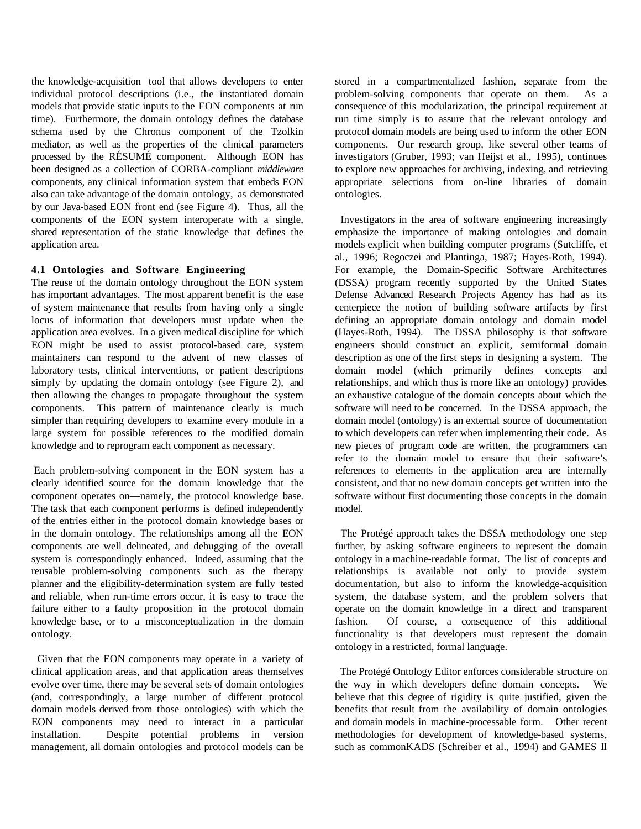the knowledge-acquisition tool that allows developers to enter individual protocol descriptions (i.e., the instantiated domain models that provide static inputs to the EON components at run time). Furthermore, the domain ontology defines the database schema used by the Chronus component of the Tzolkin mediator, as well as the properties of the clinical parameters processed by the RÉSUMÉ component. Although EON has been designed as a collection of CORBA-compliant *middleware* components, any clinical information system that embeds EON also can take advantage of the domain ontology, as demonstrated by our Java-based EON front end (see Figure 4). Thus, all the components of the EON system interoperate with a single, shared representation of the static knowledge that defines the application area.

#### **4.1 Ontologies and Software Engineering**

The reuse of the domain ontology throughout the EON system has important advantages. The most apparent benefit is the ease of system maintenance that results from having only a single locus of information that developers must update when the application area evolves. In a given medical discipline for which EON might be used to assist protocol-based care, system maintainers can respond to the advent of new classes of laboratory tests, clinical interventions, or patient descriptions simply by updating the domain ontology (see Figure 2), and then allowing the changes to propagate throughout the system components. This pattern of maintenance clearly is much simpler than requiring developers to examine every module in a large system for possible references to the modified domain knowledge and to reprogram each component as necessary.

 Each problem-solving component in the EON system has a clearly identified source for the domain knowledge that the component operates on—namely, the protocol knowledge base. The task that each component performs is defined independently of the entries either in the protocol domain knowledge bases or in the domain ontology. The relationships among all the EON components are well delineated, and debugging of the overall system is correspondingly enhanced. Indeed, assuming that the reusable problem-solving components such as the therapy planner and the eligibility-determination system are fully tested and reliable, when run-time errors occur, it is easy to trace the failure either to a faulty proposition in the protocol domain knowledge base, or to a misconceptualization in the domain ontology.

 Given that the EON components may operate in a variety of clinical application areas, and that application areas themselves evolve over time, there may be several sets of domain ontologies (and, correspondingly, a large number of different protocol domain models derived from those ontologies) with which the EON components may need to interact in a particular installation. Despite potential problems in version management, all domain ontologies and protocol models can be

stored in a compartmentalized fashion, separate from the problem-solving components that operate on them. As a consequence of this modularization, the principal requirement at run time simply is to assure that the relevant ontology and protocol domain models are being used to inform the other EON components. Our research group, like several other teams of investigators (Gruber, 1993; van Heijst et al., 1995), continues to explore new approaches for archiving, indexing, and retrieving appropriate selections from on-line libraries of domain ontologies.

 Investigators in the area of software engineering increasingly emphasize the importance of making ontologies and domain models explicit when building computer programs (Sutcliffe, et al., 1996; Regoczei and Plantinga, 1987; Hayes-Roth, 1994). For example, the Domain-Specific Software Architectures (DSSA) program recently supported by the United States Defense Advanced Research Projects Agency has had as its centerpiece the notion of building software artifacts by first defining an appropriate domain ontology and domain model (Hayes-Roth, 1994). The DSSA philosophy is that software engineers should construct an explicit, semiformal domain description as one of the first steps in designing a system. The domain model (which primarily defines concepts and relationships, and which thus is more like an ontology) provides an exhaustive catalogue of the domain concepts about which the software will need to be concerned. In the DSSA approach, the domain model (ontology) is an external source of documentation to which developers can refer when implementing their code. As new pieces of program code are written, the programmers can refer to the domain model to ensure that their software's references to elements in the application area are internally consistent, and that no new domain concepts get written into the software without first documenting those concepts in the domain model.

 The Protégé approach takes the DSSA methodology one step further, by asking software engineers to represent the domain ontology in a machine-readable format. The list of concepts and relationships is available not only to provide system documentation, but also to inform the knowledge-acquisition system, the database system, and the problem solvers that operate on the domain knowledge in a direct and transparent fashion. Of course, a consequence of this additional functionality is that developers must represent the domain ontology in a restricted, formal language.

 The Protégé Ontology Editor enforces considerable structure on the way in which developers define domain concepts. We believe that this degree of rigidity is quite justified, given the benefits that result from the availability of domain ontologies and domain models in machine-processable form. Other recent methodologies for development of knowledge-based systems, such as commonKADS (Schreiber et al., 1994) and GAMES II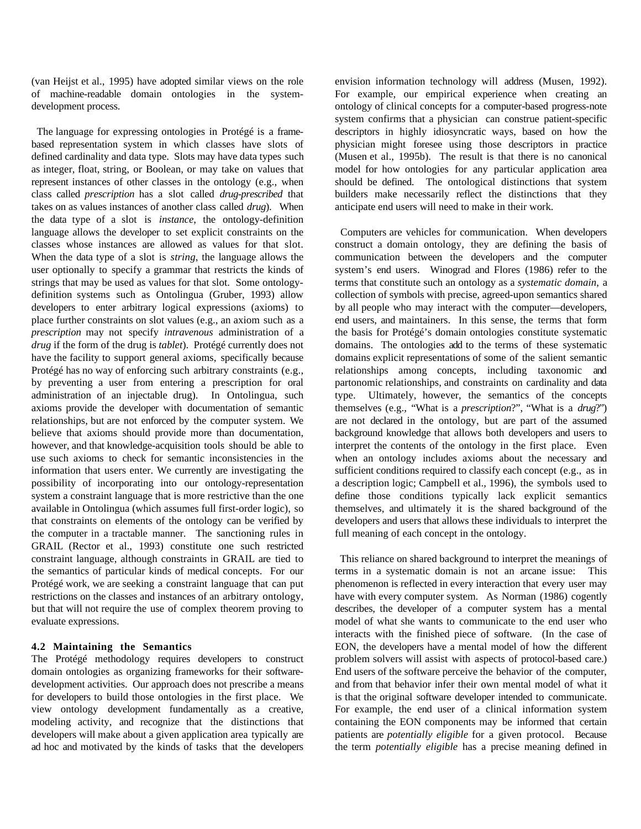(van Heijst et al., 1995) have adopted similar views on the role of machine-readable domain ontologies in the systemdevelopment process.

 The language for expressing ontologies in Protégé is a framebased representation system in which classes have slots of defined cardinality and data type. Slots may have data types such as integer, float, string, or Boolean, or may take on values that represent instances of other classes in the ontology (e.g., when class called *prescription* has a slot called *drug-prescribed* that takes on as values instances of another class called *drug*). When the data type of a slot is *instance*, the ontology-definition language allows the developer to set explicit constraints on the classes whose instances are allowed as values for that slot. When the data type of a slot is *string*, the language allows the user optionally to specify a grammar that restricts the kinds of strings that may be used as values for that slot. Some ontologydefinition systems such as Ontolingua (Gruber, 1993) allow developers to enter arbitrary logical expressions (axioms) to place further constraints on slot values (e.g., an axiom such as a *prescription* may not specify *intravenous* administration of a *drug* if the form of the drug is *tablet*). Protégé currently does not have the facility to support general axioms, specifically because Protégé has no way of enforcing such arbitrary constraints (e.g., by preventing a user from entering a prescription for oral administration of an injectable drug). In Ontolingua, such axioms provide the developer with documentation of semantic relationships, but are not enforced by the computer system. We believe that axioms should provide more than documentation, however, and that knowledge-acquisition tools should be able to use such axioms to check for semantic inconsistencies in the information that users enter. We currently are investigating the possibility of incorporating into our ontology-representation system a constraint language that is more restrictive than the one available in Ontolingua (which assumes full first-order logic), so that constraints on elements of the ontology can be verified by the computer in a tractable manner. The sanctioning rules in GRAIL (Rector et al., 1993) constitute one such restricted constraint language, although constraints in GRAIL are tied to the semantics of particular kinds of medical concepts. For our Protégé work, we are seeking a constraint language that can put restrictions on the classes and instances of an arbitrary ontology, but that will not require the use of complex theorem proving to evaluate expressions.

### **4.2 Maintaining the Semantics**

The Protégé methodology requires developers to construct domain ontologies as organizing frameworks for their softwaredevelopment activities. Our approach does not prescribe a means for developers to build those ontologies in the first place. We view ontology development fundamentally as a creative, modeling activity, and recognize that the distinctions that developers will make about a given application area typically are ad hoc and motivated by the kinds of tasks that the developers

envision information technology will address (Musen, 1992). For example, our empirical experience when creating an ontology of clinical concepts for a computer-based progress-note system confirms that a physician can construe patient-specific descriptors in highly idiosyncratic ways, based on how the physician might foresee using those descriptors in practice (Musen et al., 1995b). The result is that there is no canonical model for how ontologies for any particular application area should be defined. The ontological distinctions that system builders make necessarily reflect the distinctions that they anticipate end users will need to make in their work.

 Computers are vehicles for communication. When developers construct a domain ontology, they are defining the basis of communication between the developers and the computer system's end users. Winograd and Flores (1986) refer to the terms that constitute such an ontology as a *systematic domain*, a collection of symbols with precise, agreed-upon semantics shared by all people who may interact with the computer—developers, end users, and maintainers. In this sense, the terms that form the basis for Protégé's domain ontologies constitute systematic domains. The ontologies add to the terms of these systematic domains explicit representations of some of the salient semantic relationships among concepts, including taxonomic and partonomic relationships, and constraints on cardinality and data type. Ultimately, however, the semantics of the concepts themselves (e.g., "What is a *prescription*?", "What is a *drug*?") are not declared in the ontology, but are part of the assumed background knowledge that allows both developers and users to interpret the contents of the ontology in the first place. Even when an ontology includes axioms about the necessary and sufficient conditions required to classify each concept (e.g., as in a description logic; Campbell et al., 1996), the symbols used to define those conditions typically lack explicit semantics themselves, and ultimately it is the shared background of the developers and users that allows these individuals to interpret the full meaning of each concept in the ontology.

 This reliance on shared background to interpret the meanings of terms in a systematic domain is not an arcane issue: This phenomenon is reflected in every interaction that every user may have with every computer system. As Norman (1986) cogently describes, the developer of a computer system has a mental model of what she wants to communicate to the end user who interacts with the finished piece of software. (In the case of EON, the developers have a mental model of how the different problem solvers will assist with aspects of protocol-based care.) End users of the software perceive the behavior of the computer, and from that behavior infer their own mental model of what it is that the original software developer intended to communicate. For example, the end user of a clinical information system containing the EON components may be informed that certain patients are *potentially eligible* for a given protocol. Because the term *potentially eligible* has a precise meaning defined in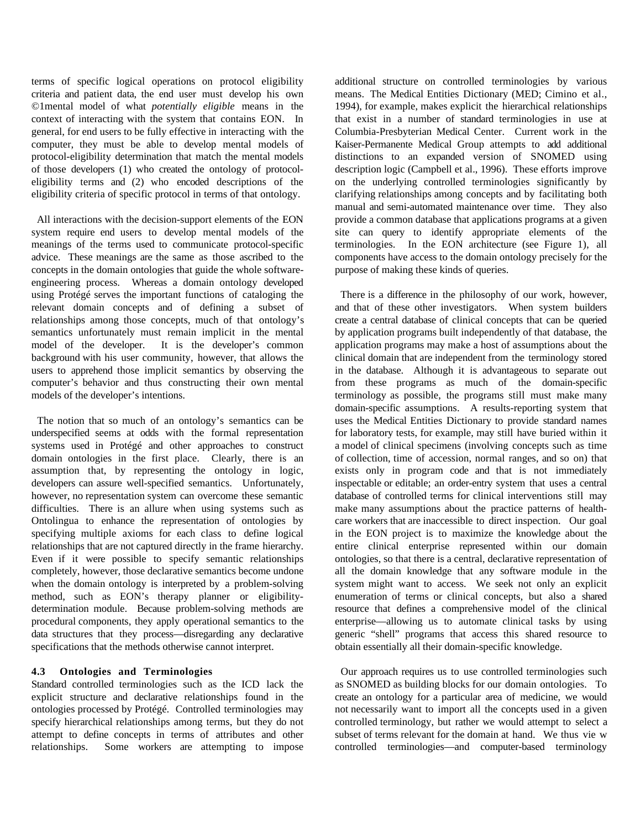terms of specific logical operations on protocol eligibility criteria and patient data, the end user must develop his own ©1mental model of what *potentially eligible* means in the context of interacting with the system that contains EON. In general, for end users to be fully effective in interacting with the computer, they must be able to develop mental models of protocol-eligibility determination that match the mental models of those developers (1) who created the ontology of protocoleligibility terms and (2) who encoded descriptions of the eligibility criteria of specific protocol in terms of that ontology.

 All interactions with the decision-support elements of the EON system require end users to develop mental models of the meanings of the terms used to communicate protocol-specific advice. These meanings are the same as those ascribed to the concepts in the domain ontologies that guide the whole softwareengineering process. Whereas a domain ontology developed using Protégé serves the important functions of cataloging the relevant domain concepts and of defining a subset of relationships among those concepts, much of that ontology's semantics unfortunately must remain implicit in the mental model of the developer. It is the developer's common background with his user community, however, that allows the users to apprehend those implicit semantics by observing the computer's behavior and thus constructing their own mental models of the developer's intentions.

 The notion that so much of an ontology's semantics can be underspecified seems at odds with the formal representation systems used in Protégé and other approaches to construct domain ontologies in the first place. Clearly, there is an assumption that, by representing the ontology in logic, developers can assure well-specified semantics. Unfortunately, however, no representation system can overcome these semantic difficulties. There is an allure when using systems such as Ontolingua to enhance the representation of ontologies by specifying multiple axioms for each class to define logical relationships that are not captured directly in the frame hierarchy. Even if it were possible to specify semantic relationships completely, however, those declarative semantics become undone when the domain ontology is interpreted by a problem-solving method, such as EON's therapy planner or eligibilitydetermination module. Because problem-solving methods are procedural components, they apply operational semantics to the data structures that they process—disregarding any declarative specifications that the methods otherwise cannot interpret.

#### **4.3 Ontologies and Terminologies**

Standard controlled terminologies such as the ICD lack the explicit structure and declarative relationships found in the ontologies processed by Protégé. Controlled terminologies may specify hierarchical relationships among terms, but they do not attempt to define concepts in terms of attributes and other relationships. Some workers are attempting to impose

additional structure on controlled terminologies by various means. The Medical Entities Dictionary (MED; Cimino et al., 1994), for example, makes explicit the hierarchical relationships that exist in a number of standard terminologies in use at Columbia-Presbyterian Medical Center. Current work in the Kaiser-Permanente Medical Group attempts to add additional distinctions to an expanded version of SNOMED using description logic (Campbell et al., 1996). These efforts improve on the underlying controlled terminologies significantly by clarifying relationships among concepts and by facilitating both manual and semi-automated maintenance over time. They also provide a common database that applications programs at a given site can query to identify appropriate elements of the terminologies. In the EON architecture (see Figure 1), all components have access to the domain ontology precisely for the purpose of making these kinds of queries.

 There is a difference in the philosophy of our work, however, and that of these other investigators. When system builders create a central database of clinical concepts that can be queried by application programs built independently of that database, the application programs may make a host of assumptions about the clinical domain that are independent from the terminology stored in the database. Although it is advantageous to separate out from these programs as much of the domain-specific terminology as possible, the programs still must make many domain-specific assumptions. A results-reporting system that uses the Medical Entities Dictionary to provide standard names for laboratory tests, for example, may still have buried within it a model of clinical specimens (involving concepts such as time of collection, time of accession, normal ranges, and so on) that exists only in program code and that is not immediately inspectable or editable; an order-entry system that uses a central database of controlled terms for clinical interventions still may make many assumptions about the practice patterns of healthcare workers that are inaccessible to direct inspection. Our goal in the EON project is to maximize the knowledge about the entire clinical enterprise represented within our domain ontologies, so that there is a central, declarative representation of all the domain knowledge that any software module in the system might want to access. We seek not only an explicit enumeration of terms or clinical concepts, but also a shared resource that defines a comprehensive model of the clinical enterprise—allowing us to automate clinical tasks by using generic "shell" programs that access this shared resource to obtain essentially all their domain-specific knowledge.

 Our approach requires us to use controlled terminologies such as SNOMED as building blocks for our domain ontologies. To create an ontology for a particular area of medicine, we would not necessarily want to import all the concepts used in a given controlled terminology, but rather we would attempt to select a subset of terms relevant for the domain at hand. We thus vie w controlled terminologies—and computer-based terminology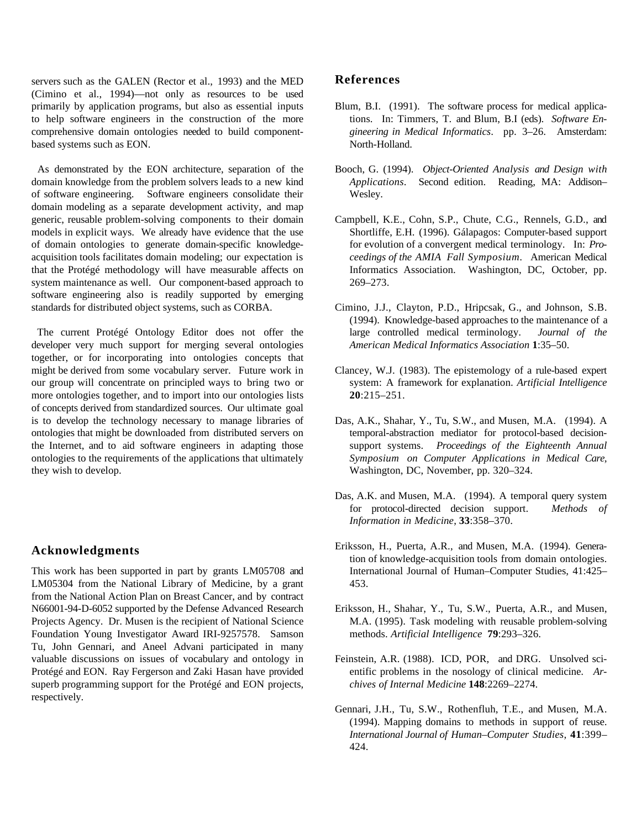servers such as the GALEN (Rector et al., 1993) and the MED (Cimino et al., 1994)—not only as resources to be used primarily by application programs, but also as essential inputs to help software engineers in the construction of the more comprehensive domain ontologies needed to build componentbased systems such as EON.

 As demonstrated by the EON architecture, separation of the domain knowledge from the problem solvers leads to a new kind of software engineering. Software engineers consolidate their domain modeling as a separate development activity, and map generic, reusable problem-solving components to their domain models in explicit ways. We already have evidence that the use of domain ontologies to generate domain-specific knowledgeacquisition tools facilitates domain modeling; our expectation is that the Protégé methodology will have measurable affects on system maintenance as well. Our component-based approach to software engineering also is readily supported by emerging standards for distributed object systems, such as CORBA.

 The current Protégé Ontology Editor does not offer the developer very much support for merging several ontologies together, or for incorporating into ontologies concepts that might be derived from some vocabulary server. Future work in our group will concentrate on principled ways to bring two or more ontologies together, and to import into our ontologies lists of concepts derived from standardized sources. Our ultimate goal is to develop the technology necessary to manage libraries of ontologies that might be downloaded from distributed servers on the Internet, and to aid software engineers in adapting those ontologies to the requirements of the applications that ultimately they wish to develop.

### **Acknowledgments**

This work has been supported in part by grants LM05708 and LM05304 from the National Library of Medicine, by a grant from the National Action Plan on Breast Cancer, and by contract N66001-94-D-6052 supported by the Defense Advanced Research Projects Agency. Dr. Musen is the recipient of National Science Foundation Young Investigator Award IRI-9257578. Samson Tu, John Gennari, and Aneel Advani participated in many valuable discussions on issues of vocabulary and ontology in Protégé and EON. Ray Fergerson and Zaki Hasan have provided superb programming support for the Protégé and EON projects, respectively.

## **References**

- Blum, B.I. (1991). The software process for medical applications. In: Timmers, T. and Blum, B.I (eds). *Software Engineering in Medical Informatics*. pp. 3–26. Amsterdam: North-Holland.
- Booch, G. (1994). *Object-Oriented Analysis and Design with Applications*. Second edition. Reading, MA: Addison– Wesley.
- Campbell, K.E., Cohn, S.P., Chute, C.G., Rennels, G.D., and Shortliffe, E.H. (1996). Gálapagos: Computer-based support for evolution of a convergent medical terminology. In: *Proceedings of the AMIA Fall Symposium*. American Medical Informatics Association. Washington, DC, October, pp. 269–273.
- Cimino, J.J., Clayton, P.D., Hripcsak, G., and Johnson, S.B. (1994). Knowledge-based approaches to the maintenance of a large controlled medical terminology. *Journal of the American Medical Informatics Association* **1**:35–50.
- Clancey, W.J. (1983). The epistemology of a rule-based expert system: A framework for explanation. *Artificial Intelligence* **20**:215–251.
- Das, A.K., Shahar, Y., Tu, S.W., and Musen, M.A. (1994). A temporal-abstraction mediator for protocol-based decisionsupport systems. *Proceedings of the Eighteenth Annual Symposium on Computer Applications in Medical Care,* Washington, DC, November, pp. 320–324.
- Das, A.K. and Musen, M.A. (1994). A temporal query system for protocol-directed decision support. *Methods of Information in Medicine*, **33**:358–370.
- Eriksson, H., Puerta, A.R., and Musen, M.A. (1994). Generation of knowledge-acquisition tools from domain ontologies. International Journal of Human–Computer Studies, 41:425– 453.
- Eriksson, H., Shahar, Y., Tu, S.W., Puerta, A.R., and Musen, M.A. (1995). Task modeling with reusable problem-solving methods. *Artificial Intelligence* **79**:293–326.
- Feinstein, A.R. (1988). ICD, POR, and DRG. Unsolved scientific problems in the nosology of clinical medicine. *Archives of Internal Medicine* **148**:2269–2274.
- Gennari, J.H., Tu, S.W., Rothenfluh, T.E., and Musen, M.A. (1994). Mapping domains to methods in support of reuse. *International Journal of Human–Computer Studies*, **41**:399– 424.